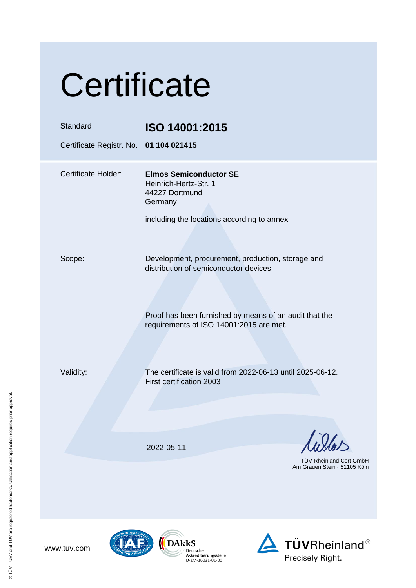| Certificate                                        |                                                                                                                                                                                                 |  |
|----------------------------------------------------|-------------------------------------------------------------------------------------------------------------------------------------------------------------------------------------------------|--|
| Standard<br>Certificate Registr. No. 01 104 021415 | ISO 14001:2015                                                                                                                                                                                  |  |
| <b>Certificate Holder:</b>                         | <b>Elmos Semiconductor SE</b><br>Heinrich-Hertz-Str. 1<br>44227 Dortmund<br>Germany<br>including the locations according to annex                                                               |  |
| Scope:                                             | Development, procurement, production, storage and<br>distribution of semiconductor devices<br>Proof has been furnished by means of an audit that the<br>requirements of ISO 14001:2015 are met. |  |
| Validity:                                          | The certificate is valid from 2022-06-13 until 2025-06-12.<br>First certification 2003                                                                                                          |  |
|                                                    | 2022-05-11<br>TÜV Rheinland Cert GmbH<br>Am Grauen Stein · 51105 Köln                                                                                                                           |  |





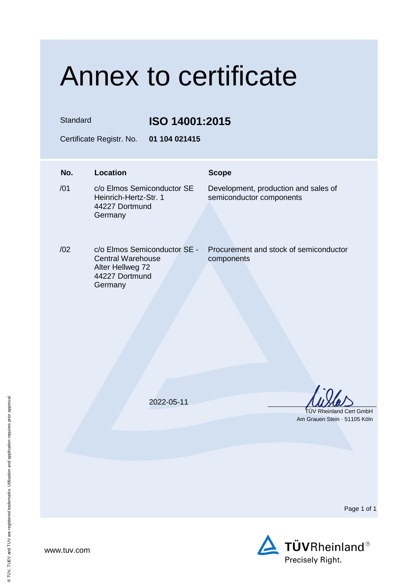## Annex to certificate

Standard **ISO 14001:2015**

Certificate Registr. No. **01 104 021415**

## **No. Location Scope**  $/01$ c/o Elmos Semiconductor SE Heinrich-Hertz-Str. 1 44227 Dortmund Germany Development, production and sales of semiconductor components /02 c/o Elmos Semiconductor SE - Central Warehouse Alter Hellweg 72 44227 Dortmund **Germany** Procurement and stock of semiconductor components 2022-05-11 TÜV Rheinland Cert GmbH Am Grauen Stein · 51105 Köln

Page 1 of 1



® TÜV, TUEV and TUV are registered trademarks. Utilisation and application requires prior approval.

® TÜV, TUEV and TUV are registered trademarks. Utilisation and application requires prior approval.

www.tuv.com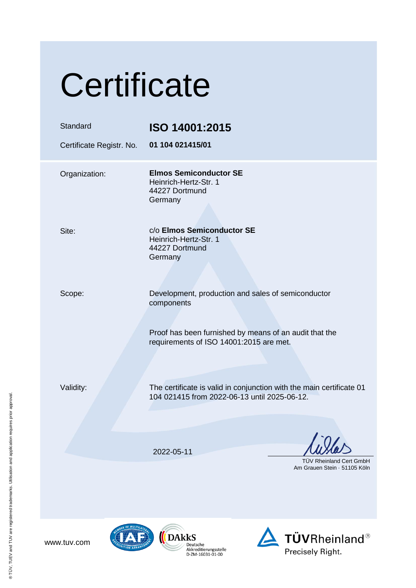| Certificate                          |                                                                                                                      |  |
|--------------------------------------|----------------------------------------------------------------------------------------------------------------------|--|
| Standard<br>Certificate Registr. No. | ISO 14001:2015<br>01 104 021415/01                                                                                   |  |
| Organization:                        | <b>Elmos Semiconductor SE</b><br>Heinrich-Hertz-Str. 1<br>44227 Dortmund<br>Germany                                  |  |
| Site:                                | c/o Elmos Semiconductor SE<br>Heinrich-Hertz-Str. 1<br>44227 Dortmund<br>Germany                                     |  |
| Scope:                               | Development, production and sales of semiconductor<br>components                                                     |  |
|                                      | Proof has been furnished by means of an audit that the<br>requirements of ISO 14001:2015 are met.                    |  |
| Validity:                            | The certificate is valid in conjunction with the main certificate 01<br>104 021415 from 2022-06-13 until 2025-06-12. |  |
|                                      | 2022-05-11                                                                                                           |  |
|                                      | <b>TUV Rheinland Cert GmbH</b><br>Am Grauen Stein 51105 Köln                                                         |  |

www.tuv.com